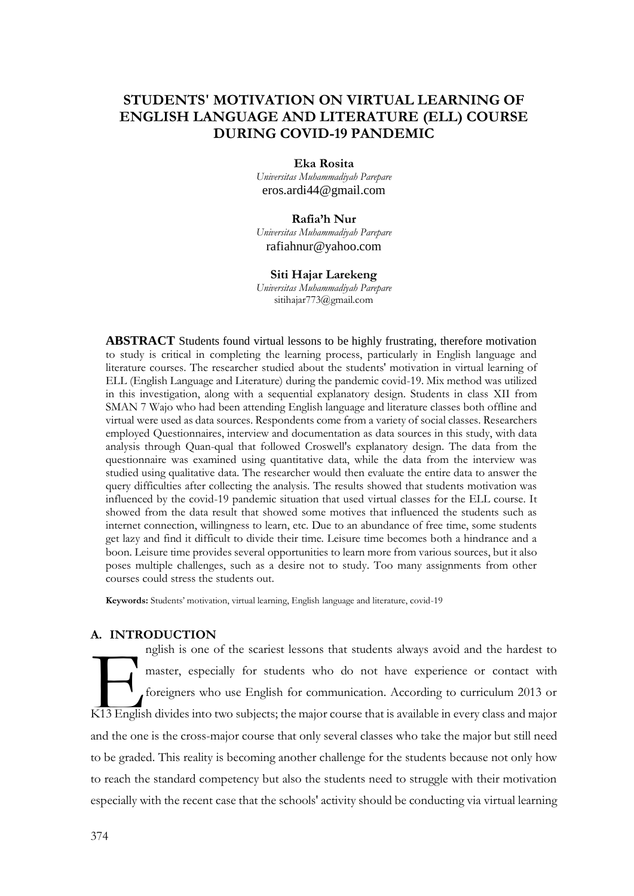## **STUDENTS' MOTIVATION ON VIRTUAL LEARNING OF ENGLISH LANGUAGE AND LITERATURE (ELL) COURSE DURING COVID-19 PANDEMIC**

**Eka Rosita**

*Universitas Muhammadiyah Parepare* [eros.ardi44@gmail.com](mailto:eros.ardi44@gmail.com)

## **Rafia'h Nur**

*Universitas Muhammadiyah Parepare* [rafiahnur@yahoo.com](mailto:rafiahnur@yahoo.com)

#### **Siti Hajar Larekeng**

*Universitas Muhammadiyah Parepare* sitihajar773@gmail.com

**ABSTRACT** Students found virtual lessons to be highly frustrating, therefore motivation to study is critical in completing the learning process, particularly in English language and literature courses. The researcher studied about the students' motivation in virtual learning of ELL (English Language and Literature) during the pandemic covid-19. Mix method was utilized in this investigation, along with a sequential explanatory design. Students in class XII from SMAN 7 Wajo who had been attending English language and literature classes both offline and virtual were used as data sources. Respondents come from a variety of social classes. Researchers employed Questionnaires, interview and documentation as data sources in this study, with data analysis through Quan-qual that followed Croswell's explanatory design. The data from the questionnaire was examined using quantitative data, while the data from the interview was studied using qualitative data. The researcher would then evaluate the entire data to answer the query difficulties after collecting the analysis. The results showed that students motivation was influenced by the covid-19 pandemic situation that used virtual classes for the ELL course. It showed from the data result that showed some motives that influenced the students such as internet connection, willingness to learn, etc. Due to an abundance of free time, some students get lazy and find it difficult to divide their time. Leisure time becomes both a hindrance and a boon. Leisure time provides several opportunities to learn more from various sources, but it also poses multiple challenges, such as a desire not to study. Too many assignments from other courses could stress the students out.

**Keywords:** Students' motivation, virtual learning, English language and literature, covid-19

## **A. INTRODUCTION**

nglish is one of the scariest lessons that students always avoid and the hardest to master, especially for students who do not have experience or contact with foreigners who use English for communication. According to curriculum 2013 or nglish is one of the scariest lessons that students always avoid and the hardest to master, especially for students who do not have experience or contact with foreigners who use English for communication. According to curr and the one is the cross-major course that only several classes who take the major but still need to be graded. This reality is becoming another challenge for the students because not only how to reach the standard competency but also the students need to struggle with their motivation especially with the recent case that the schools' activity should be conducting via virtual learning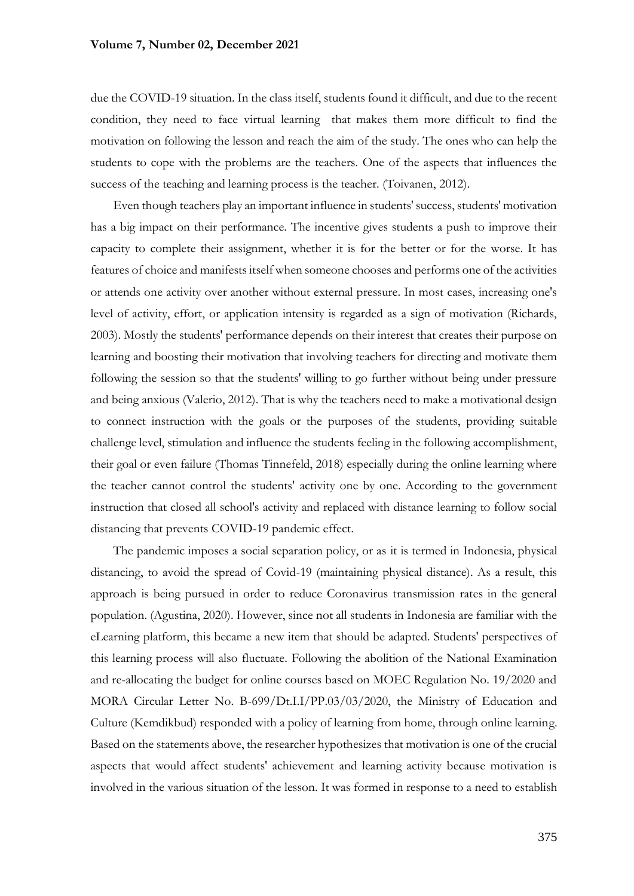due the COVID-19 situation. In the class itself, students found it difficult, and due to the recent condition, they need to face virtual learning that makes them more difficult to find the motivation on following the lesson and reach the aim of the study. The ones who can help the students to cope with the problems are the teachers. One of the aspects that influences the success of the teaching and learning process is the teacher. (Toivanen, 2012).

Even though teachers play an important influence in students' success, students' motivation has a big impact on their performance. The incentive gives students a push to improve their capacity to complete their assignment, whether it is for the better or for the worse. It has features of choice and manifests itself when someone chooses and performs one of the activities or attends one activity over another without external pressure. In most cases, increasing one's level of activity, effort, or application intensity is regarded as a sign of motivation (Richards, 2003). Mostly the students' performance depends on their interest that creates their purpose on learning and boosting their motivation that involving teachers for directing and motivate them following the session so that the students' willing to go further without being under pressure and being anxious (Valerio, 2012). That is why the teachers need to make a motivational design to connect instruction with the goals or the purposes of the students, providing suitable challenge level, stimulation and influence the students feeling in the following accomplishment, their goal or even failure (Thomas Tinnefeld, 2018) especially during the online learning where the teacher cannot control the students' activity one by one. According to the government instruction that closed all school's activity and replaced with distance learning to follow social distancing that prevents COVID-19 pandemic effect.

The pandemic imposes a social separation policy, or as it is termed in Indonesia, physical distancing, to avoid the spread of Covid-19 (maintaining physical distance). As a result, this approach is being pursued in order to reduce Coronavirus transmission rates in the general population. (Agustina, 2020). However, since not all students in Indonesia are familiar with the eLearning platform, this became a new item that should be adapted. Students' perspectives of this learning process will also fluctuate. Following the abolition of the National Examination and re-allocating the budget for online courses based on MOEC Regulation No. 19/2020 and MORA Circular Letter No. B-699/Dt.I.I/PP.03/03/2020, the Ministry of Education and Culture (Kemdikbud) responded with a policy of learning from home, through online learning. Based on the statements above, the researcher hypothesizes that motivation is one of the crucial aspects that would affect students' achievement and learning activity because motivation is involved in the various situation of the lesson. It was formed in response to a need to establish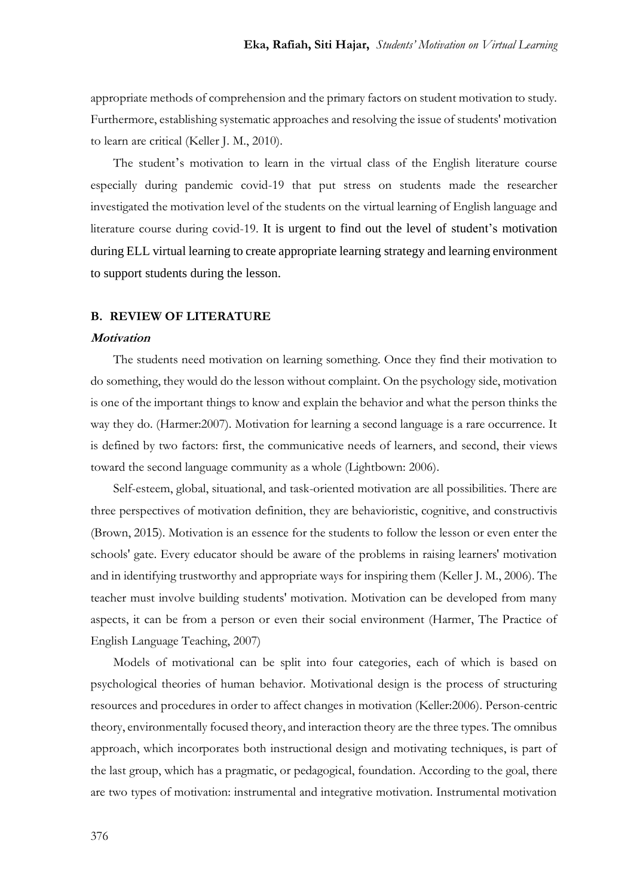appropriate methods of comprehension and the primary factors on student motivation to study. Furthermore, establishing systematic approaches and resolving the issue of students' motivation to learn are critical (Keller J. M., 2010).

The student's motivation to learn in the virtual class of the English literature course especially during pandemic covid-19 that put stress on students made the researcher investigated the motivation level of the students on the virtual learning of English language and literature course during covid-19. It is urgent to find out the level of student's motivation during ELL virtual learning to create appropriate learning strategy and learning environment to support students during the lesson.

#### **B. REVIEW OF LITERATURE**

#### **Motivation**

The students need motivation on learning something. Once they find their motivation to do something, they would do the lesson without complaint. On the psychology side, motivation is one of the important things to know and explain the behavior and what the person thinks the way they do. (Harmer:2007). Motivation for learning a second language is a rare occurrence. It is defined by two factors: first, the communicative needs of learners, and second, their views toward the second language community as a whole (Lightbown: 2006).

Self-esteem, global, situational, and task-oriented motivation are all possibilities. There are three perspectives of motivation definition, they are behavioristic, cognitive, and constructivis (Brown, 2015). Motivation is an essence for the students to follow the lesson or even enter the schools' gate. Every educator should be aware of the problems in raising learners' motivation and in identifying trustworthy and appropriate ways for inspiring them (Keller J. M., 2006). The teacher must involve building students' motivation. Motivation can be developed from many aspects, it can be from a person or even their social environment (Harmer, The Practice of English Language Teaching, 2007)

Models of motivational can be split into four categories, each of which is based on psychological theories of human behavior. Motivational design is the process of structuring resources and procedures in order to affect changes in motivation (Keller:2006). Person-centric theory, environmentally focused theory, and interaction theory are the three types. The omnibus approach, which incorporates both instructional design and motivating techniques, is part of the last group, which has a pragmatic, or pedagogical, foundation. According to the goal, there are two types of motivation: instrumental and integrative motivation. Instrumental motivation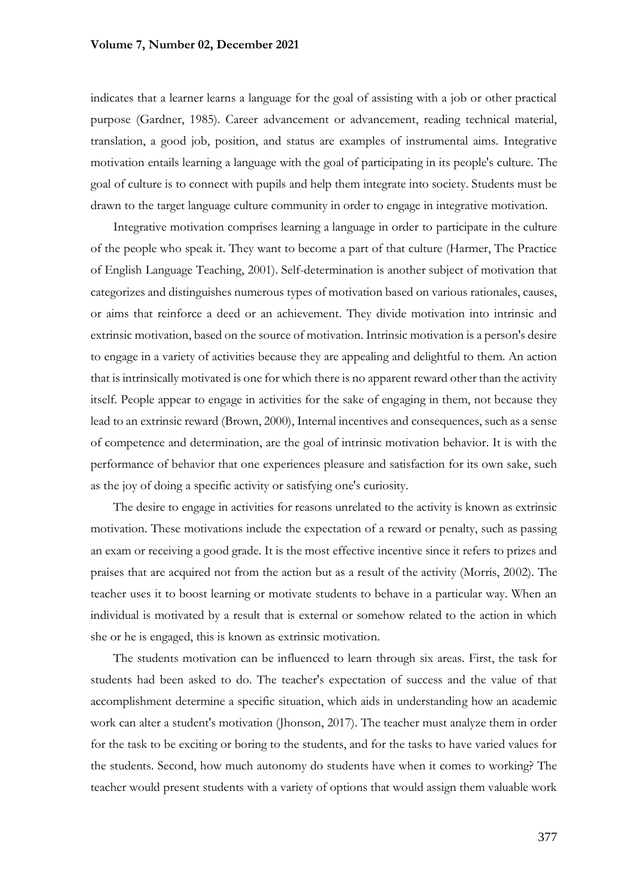indicates that a learner learns a language for the goal of assisting with a job or other practical purpose (Gardner, 1985). Career advancement or advancement, reading technical material, translation, a good job, position, and status are examples of instrumental aims. Integrative motivation entails learning a language with the goal of participating in its people's culture. The goal of culture is to connect with pupils and help them integrate into society. Students must be drawn to the target language culture community in order to engage in integrative motivation.

Integrative motivation comprises learning a language in order to participate in the culture of the people who speak it. They want to become a part of that culture (Harmer, The Practice of English Language Teaching, 2001). Self-determination is another subject of motivation that categorizes and distinguishes numerous types of motivation based on various rationales, causes, or aims that reinforce a deed or an achievement. They divide motivation into intrinsic and extrinsic motivation, based on the source of motivation. Intrinsic motivation is a person's desire to engage in a variety of activities because they are appealing and delightful to them. An action that is intrinsically motivated is one for which there is no apparent reward other than the activity itself. People appear to engage in activities for the sake of engaging in them, not because they lead to an extrinsic reward (Brown, 2000), Internal incentives and consequences, such as a sense of competence and determination, are the goal of intrinsic motivation behavior. It is with the performance of behavior that one experiences pleasure and satisfaction for its own sake, such as the joy of doing a specific activity or satisfying one's curiosity.

The desire to engage in activities for reasons unrelated to the activity is known as extrinsic motivation. These motivations include the expectation of a reward or penalty, such as passing an exam or receiving a good grade. It is the most effective incentive since it refers to prizes and praises that are acquired not from the action but as a result of the activity (Morris, 2002). The teacher uses it to boost learning or motivate students to behave in a particular way. When an individual is motivated by a result that is external or somehow related to the action in which she or he is engaged, this is known as extrinsic motivation.

The students motivation can be influenced to learn through six areas. First, the task for students had been asked to do. The teacher's expectation of success and the value of that accomplishment determine a specific situation, which aids in understanding how an academic work can alter a student's motivation (Jhonson, 2017). The teacher must analyze them in order for the task to be exciting or boring to the students, and for the tasks to have varied values for the students. Second, how much autonomy do students have when it comes to working? The teacher would present students with a variety of options that would assign them valuable work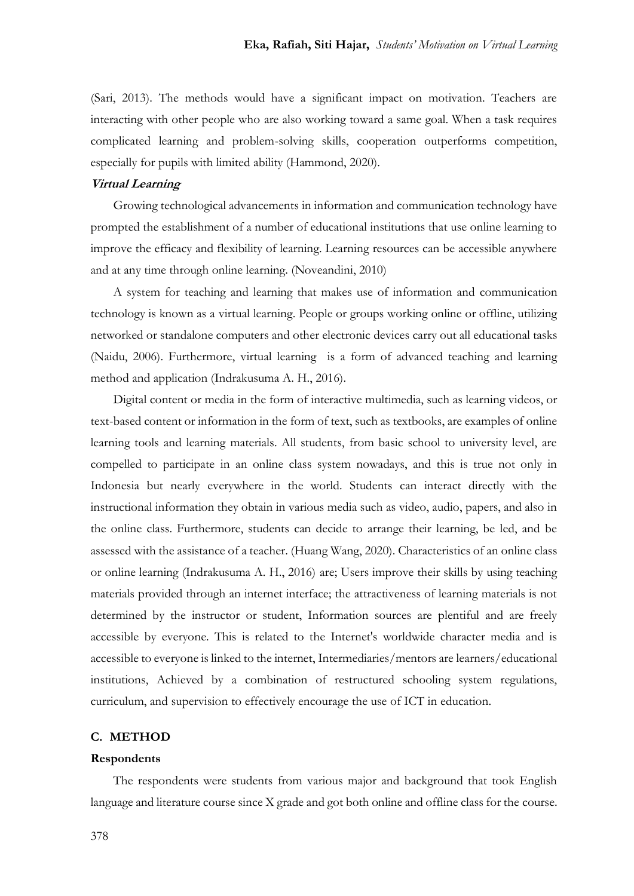(Sari, 2013). The methods would have a significant impact on motivation. Teachers are interacting with other people who are also working toward a same goal. When a task requires complicated learning and problem-solving skills, cooperation outperforms competition, especially for pupils with limited ability (Hammond, 2020).

### **Virtual Learning**

Growing technological advancements in information and communication technology have prompted the establishment of a number of educational institutions that use online learning to improve the efficacy and flexibility of learning. Learning resources can be accessible anywhere and at any time through online learning. (Noveandini, 2010)

A system for teaching and learning that makes use of information and communication technology is known as a virtual learning. People or groups working online or offline, utilizing networked or standalone computers and other electronic devices carry out all educational tasks (Naidu, 2006). Furthermore, virtual learning is a form of advanced teaching and learning method and application (Indrakusuma A. H., 2016).

Digital content or media in the form of interactive multimedia, such as learning videos, or text-based content or information in the form of text, such as textbooks, are examples of online learning tools and learning materials. All students, from basic school to university level, are compelled to participate in an online class system nowadays, and this is true not only in Indonesia but nearly everywhere in the world. Students can interact directly with the instructional information they obtain in various media such as video, audio, papers, and also in the online class. Furthermore, students can decide to arrange their learning, be led, and be assessed with the assistance of a teacher. (Huang Wang, 2020). Characteristics of an online class or online learning (Indrakusuma A. H., 2016) are; Users improve their skills by using teaching materials provided through an internet interface; the attractiveness of learning materials is not determined by the instructor or student, Information sources are plentiful and are freely accessible by everyone. This is related to the Internet's worldwide character media and is accessible to everyone is linked to the internet, Intermediaries/mentors are learners/educational institutions, Achieved by a combination of restructured schooling system regulations, curriculum, and supervision to effectively encourage the use of ICT in education.

#### **C. METHOD**

#### **Respondents**

The respondents were students from various major and background that took English language and literature course since X grade and got both online and offline class for the course.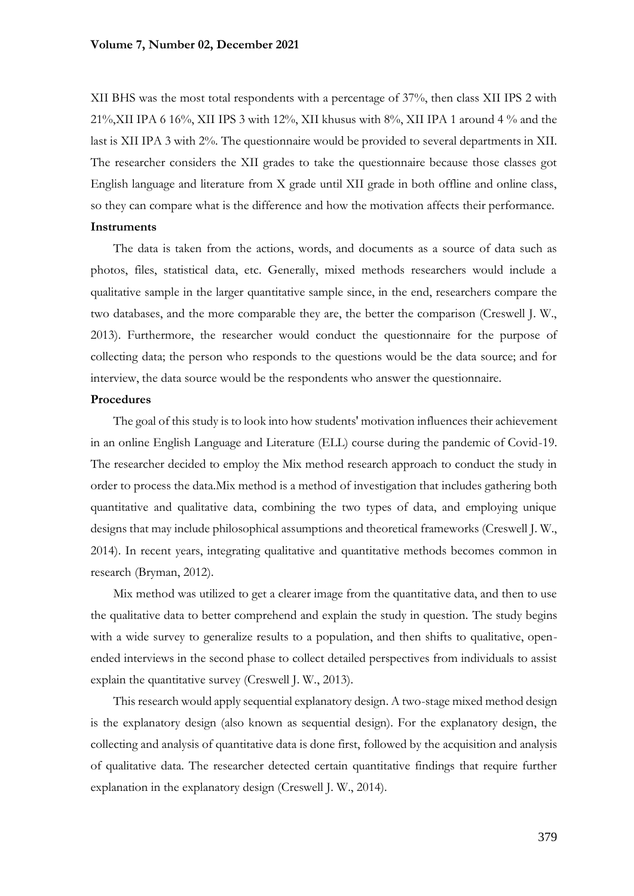XII BHS was the most total respondents with a percentage of 37%, then class XII IPS 2 with 21%,XII IPA 6 16%, XII IPS 3 with 12%, XII khusus with 8%, XII IPA 1 around 4 % and the last is XII IPA 3 with 2%. The questionnaire would be provided to several departments in XII. The researcher considers the XII grades to take the questionnaire because those classes got English language and literature from X grade until XII grade in both offline and online class, so they can compare what is the difference and how the motivation affects their performance. **Instruments**

The data is taken from the actions, words, and documents as a source of data such as photos, files, statistical data, etc. Generally, mixed methods researchers would include a qualitative sample in the larger quantitative sample since, in the end, researchers compare the two databases, and the more comparable they are, the better the comparison (Creswell J. W., 2013). Furthermore, the researcher would conduct the questionnaire for the purpose of collecting data; the person who responds to the questions would be the data source; and for interview, the data source would be the respondents who answer the questionnaire.

#### **Procedures**

The goal of this study is to look into how students' motivation influences their achievement in an online English Language and Literature (ELL) course during the pandemic of Covid-19. The researcher decided to employ the Mix method research approach to conduct the study in order to process the data.Mix method is a method of investigation that includes gathering both quantitative and qualitative data, combining the two types of data, and employing unique designs that may include philosophical assumptions and theoretical frameworks (Creswell J. W., 2014). In recent years, integrating qualitative and quantitative methods becomes common in research (Bryman, 2012).

Mix method was utilized to get a clearer image from the quantitative data, and then to use the qualitative data to better comprehend and explain the study in question. The study begins with a wide survey to generalize results to a population, and then shifts to qualitative, openended interviews in the second phase to collect detailed perspectives from individuals to assist explain the quantitative survey (Creswell J. W., 2013).

This research would apply sequential explanatory design. A two-stage mixed method design is the explanatory design (also known as sequential design). For the explanatory design, the collecting and analysis of quantitative data is done first, followed by the acquisition and analysis of qualitative data. The researcher detected certain quantitative findings that require further explanation in the explanatory design (Creswell J. W., 2014).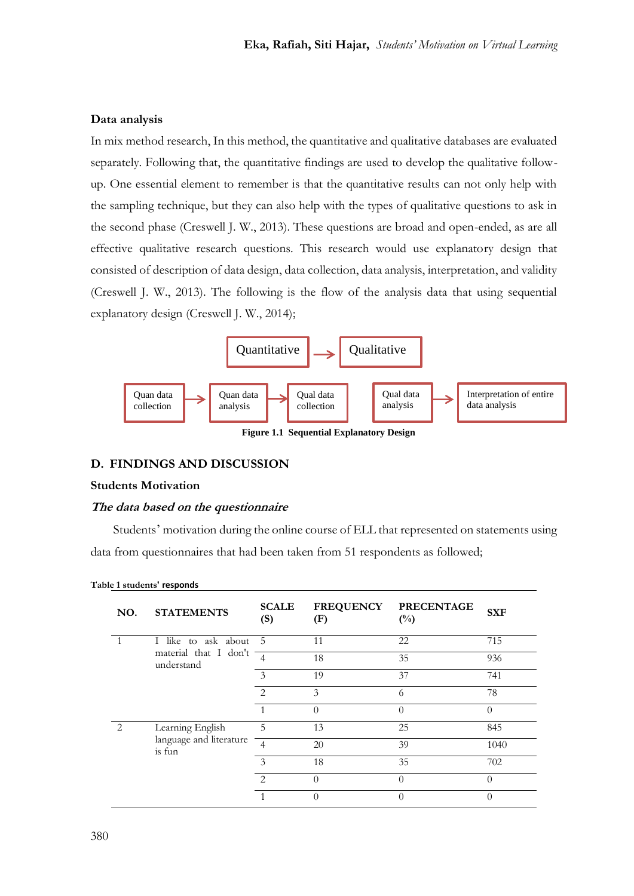## **Data analysis**

In mix method research, In this method, the quantitative and qualitative databases are evaluated separately. Following that, the quantitative findings are used to develop the qualitative followup. One essential element to remember is that the quantitative results can not only help with the sampling technique, but they can also help with the types of qualitative questions to ask in the second phase (Creswell J. W., 2013). These questions are broad and open-ended, as are all effective qualitative research questions. This research would use explanatory design that consisted of description of data design, data collection, data analysis, interpretation, and validity (Creswell J. W., 2013). The following is the flow of the analysis data that using sequential explanatory design (Creswell J. W., 2014);



**Figure 1.1 Sequential Explanatory Design**

## **D. FINDINGS AND DISCUSSION**

## **Students Motivation**

#### **The data based on the questionnaire**

Students' motivation during the online course of ELL that represented on statements using data from questionnaires that had been taken from 51 respondents as followed;

| NO.            | <b>STATEMENTS</b>                                          | <b>SCALE</b><br>(S) | <b>FREQUENCY</b><br>(F) | <b>PRECENTAGE</b><br>$(\%)$ | <b>SXF</b> |
|----------------|------------------------------------------------------------|---------------------|-------------------------|-----------------------------|------------|
|                | I like to ask about<br>material that I don't<br>understand | 5                   | 11                      | 22                          | 715        |
|                |                                                            |                     | 18                      | 35                          | 936        |
|                |                                                            | 3                   | 19                      | 37                          | 741        |
|                |                                                            | $\mathcal{D}$       | 3                       | 6                           | 78         |
|                |                                                            |                     | $\theta$                | $\Omega$                    | $\Omega$   |
| $\mathfrak{D}$ | Learning English<br>language and literature<br>is fun      | 5                   | 13                      | 25                          | 845        |
|                |                                                            | $\overline{4}$      | 20                      | 39                          | 1040       |
|                |                                                            | $\mathcal{E}$       | 18                      | 35                          | 702        |
|                |                                                            | $\mathcal{D}$       | $\theta$                | $\Omega$                    | $\Omega$   |
|                |                                                            |                     | $\Omega$                | ∩                           | $\Omega$   |

**Table 1 students' responds**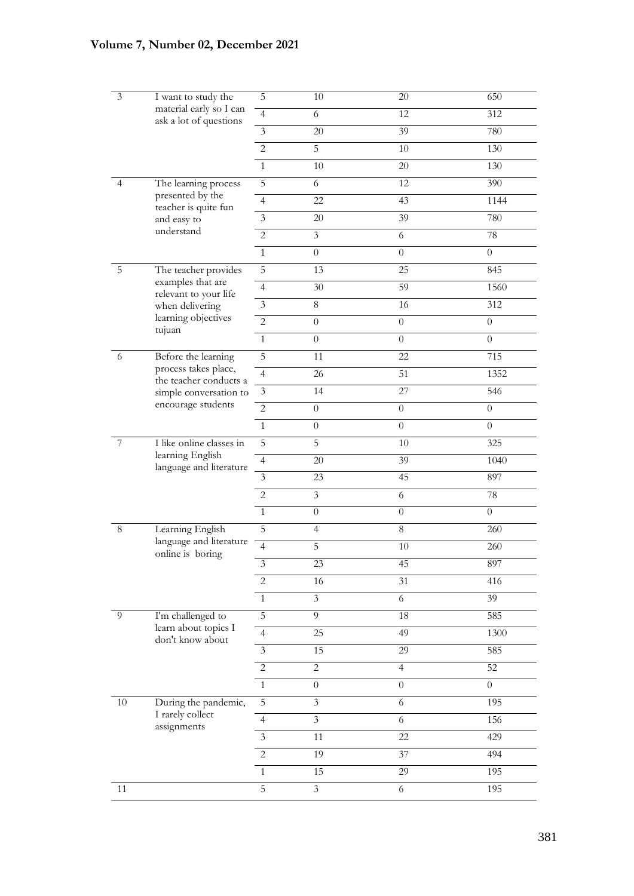| 3       | I want to study the<br>material early so I can<br>ask a lot of questions | 5              | 10                      | $20\,$           | 650              |
|---------|--------------------------------------------------------------------------|----------------|-------------------------|------------------|------------------|
|         |                                                                          | $\overline{4}$ | 6                       | 12               | 312              |
|         |                                                                          | $\overline{3}$ | 20                      | 39               | 780              |
|         |                                                                          | $\overline{c}$ | 5                       | 10               | 130              |
|         |                                                                          | $\mathbf{1}$   | $10\,$                  | 20               | 130              |
| 4       | The learning process                                                     | 5              | 6                       | 12               | 390              |
|         | presented by the                                                         | $\overline{4}$ | 22                      | 43               | 1144             |
|         | teacher is quite fun<br>and easy to                                      | $\overline{3}$ | $20\,$                  | 39               | 780              |
|         | understand                                                               | $\overline{c}$ | $\overline{3}$          | 6                | $78\,$           |
|         |                                                                          | $\mathbf{1}$   | $\boldsymbol{0}$        | $\overline{0}$   | $\boldsymbol{0}$ |
| 5       | The teacher provides                                                     | $\overline{5}$ | 13                      | 25               | 845              |
|         | examples that are                                                        | $\overline{4}$ | $30\,$                  | 59               | 1560             |
|         | relevant to your life<br>when delivering                                 | $\mathfrak{Z}$ | $\,8\,$                 | 16               | 312              |
|         | learning objectives                                                      | $\overline{c}$ | $\overline{0}$          | $\overline{0}$   | $\theta$         |
|         | tujuan                                                                   | $\mathbf{1}$   | $\boldsymbol{0}$        | $\overline{0}$   | $\overline{0}$   |
| 6       | Before the learning                                                      | 5              | 11                      | 22               | 715              |
|         | process takes place,<br>the teacher conducts a                           | $\overline{4}$ | 26                      | 51               | 1352             |
|         | simple conversation to                                                   | $\mathfrak{Z}$ | 14                      | 27               | 546              |
|         | encourage students                                                       | $\overline{2}$ | $\boldsymbol{0}$        | $\boldsymbol{0}$ | $\boldsymbol{0}$ |
|         |                                                                          | $\mathbf{1}$   | $\boldsymbol{0}$        | $\overline{0}$   | $\boldsymbol{0}$ |
| 7       | I like online classes in                                                 | 5              | 5                       | 10               | 325              |
|         | learning English<br>language and literature                              | $\overline{4}$ | $20\,$                  | 39               | 1040             |
|         |                                                                          | $\overline{3}$ | 23                      | 45               | 897              |
|         |                                                                          | $\overline{c}$ | $\overline{3}$          | 6                | 78               |
|         |                                                                          | $\mathbf{1}$   | $\boldsymbol{0}$        | $\overline{0}$   | $\overline{0}$   |
| $\,8\,$ | Learning English                                                         | 5              | $\overline{4}$          | $\,8\,$          | 260              |
|         | language and literature<br>online is boring                              | $\overline{4}$ | 5                       | 10               | 260              |
|         |                                                                          | $\mathfrak{Z}$ | 23                      | 45               | 897              |
|         |                                                                          | $\sqrt{2}$     | 16                      | 31               | 416              |
|         |                                                                          | $\mathbf{1}$   | $\mathfrak{Z}$          | 6                | 39               |
| 9       | I'm challenged to                                                        | $\overline{5}$ | $\overline{9}$          | 18               | 585              |
|         | learn about topics I<br>don't know about                                 | $\overline{4}$ | 25                      | 49               | 1300             |
|         |                                                                          | $\mathfrak{Z}$ | 15                      | 29               | 585              |
|         |                                                                          | $\overline{c}$ | $\overline{c}$          | $\overline{4}$   | 52               |
|         |                                                                          | $\mathbf{1}$   | $\boldsymbol{0}$        | $\boldsymbol{0}$ | $\boldsymbol{0}$ |
| 10      | During the pandemic,<br>I rarely collect<br>assignments                  | 5              | 3                       | 6                | 195              |
|         |                                                                          | $\overline{4}$ | $\overline{\mathbf{3}}$ | 6                | 156              |
|         |                                                                          | 3              | 11                      | $22\,$           | 429              |
|         |                                                                          | $\overline{c}$ | 19                      | 37               | 494              |
|         |                                                                          | $\mathbf{1}$   | 15                      | 29               | 195              |
| 11      |                                                                          | 5              | $\mathfrak{Z}$          | 6                | 195              |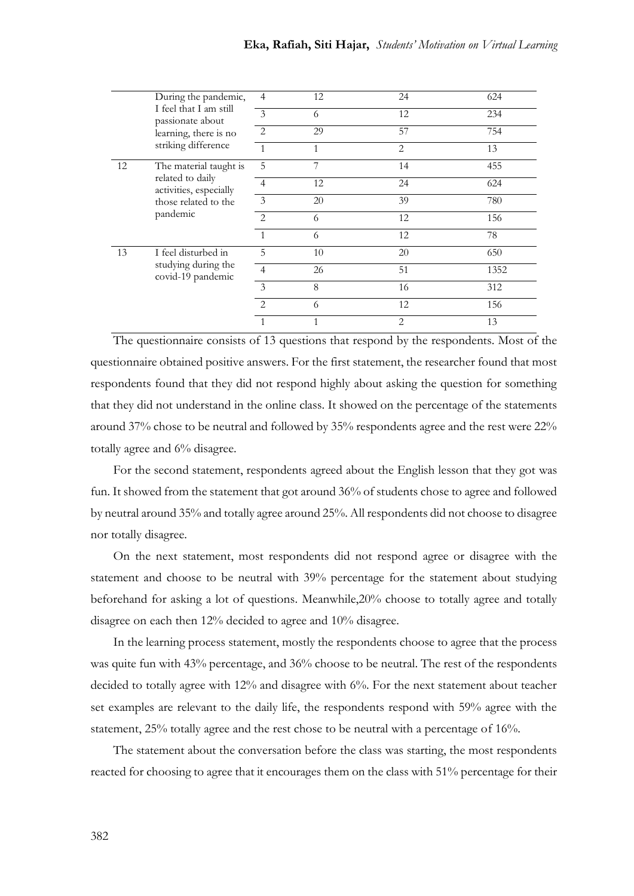|    | During the pandemic,<br>I feel that I am still<br>passionate about<br>learning, there is no<br>striking difference | $\overline{4}$              | 12           | 24             | 624  |
|----|--------------------------------------------------------------------------------------------------------------------|-----------------------------|--------------|----------------|------|
|    |                                                                                                                    | 3                           | 6            | 12             | 234  |
|    |                                                                                                                    | 2                           | 29           | 57             | 754  |
|    |                                                                                                                    | $\overline{1}$              | 1            | 2              | 13   |
| 12 | The material taught is<br>related to daily<br>activities, especially<br>those related to the<br>pandemic           | 5                           | 7            | 14             | 455  |
|    |                                                                                                                    | 4                           | 12           | 24             | 624  |
|    |                                                                                                                    | 3                           | 20           | 39             | 780  |
|    |                                                                                                                    | $\mathcal{L}$               | 6            | 12             | 156  |
|    |                                                                                                                    | $\mathbf{1}$                | 6            | 12             | 78   |
| 13 | I feel disturbed in<br>studying during the<br>covid-19 pandemic                                                    | 5                           | 10           | 20             | 650  |
|    |                                                                                                                    | $\overline{4}$              | 26           | 51             | 1352 |
|    |                                                                                                                    | 3                           | 8            | 16             | 312  |
|    |                                                                                                                    | $\mathcal{D}_{\mathcal{A}}$ | 6            | 12             | 156  |
|    |                                                                                                                    | $\mathbf{1}$                | $\mathbf{1}$ | $\mathfrak{D}$ | 13   |

The questionnaire consists of 13 questions that respond by the respondents. Most of the questionnaire obtained positive answers. For the first statement, the researcher found that most respondents found that they did not respond highly about asking the question for something that they did not understand in the online class. It showed on the percentage of the statements around 37% chose to be neutral and followed by 35% respondents agree and the rest were 22% totally agree and 6% disagree.

For the second statement, respondents agreed about the English lesson that they got was fun. It showed from the statement that got around 36% of students chose to agree and followed by neutral around 35% and totally agree around 25%. All respondents did not choose to disagree nor totally disagree.

On the next statement, most respondents did not respond agree or disagree with the statement and choose to be neutral with 39% percentage for the statement about studying beforehand for asking a lot of questions. Meanwhile,20% choose to totally agree and totally disagree on each then 12% decided to agree and 10% disagree.

In the learning process statement, mostly the respondents choose to agree that the process was quite fun with 43% percentage, and 36% choose to be neutral. The rest of the respondents decided to totally agree with 12% and disagree with 6%. For the next statement about teacher set examples are relevant to the daily life, the respondents respond with 59% agree with the statement, 25% totally agree and the rest chose to be neutral with a percentage of 16%.

The statement about the conversation before the class was starting, the most respondents reacted for choosing to agree that it encourages them on the class with 51% percentage for their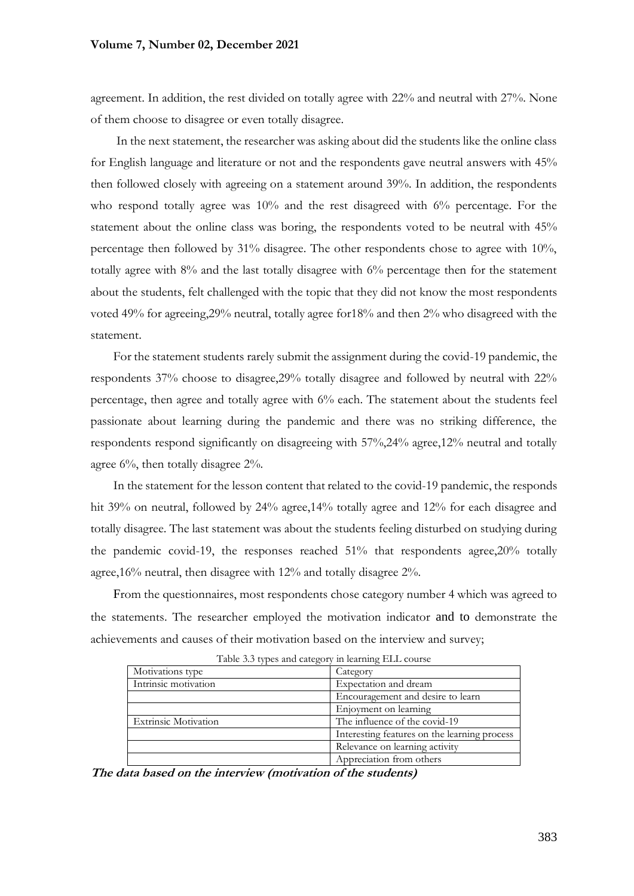agreement. In addition, the rest divided on totally agree with 22% and neutral with 27%. None of them choose to disagree or even totally disagree.

In the next statement, the researcher was asking about did the students like the online class for English language and literature or not and the respondents gave neutral answers with 45% then followed closely with agreeing on a statement around 39%. In addition, the respondents who respond totally agree was 10% and the rest disagreed with 6% percentage. For the statement about the online class was boring, the respondents voted to be neutral with 45% percentage then followed by 31% disagree. The other respondents chose to agree with 10%, totally agree with 8% and the last totally disagree with 6% percentage then for the statement about the students, felt challenged with the topic that they did not know the most respondents voted 49% for agreeing,29% neutral, totally agree for18% and then 2% who disagreed with the statement.

For the statement students rarely submit the assignment during the covid-19 pandemic, the respondents 37% choose to disagree,29% totally disagree and followed by neutral with 22% percentage, then agree and totally agree with 6% each. The statement about the students feel passionate about learning during the pandemic and there was no striking difference, the respondents respond significantly on disagreeing with 57%,24% agree,12% neutral and totally agree 6%, then totally disagree 2%.

In the statement for the lesson content that related to the covid-19 pandemic, the responds hit 39% on neutral, followed by 24% agree,14% totally agree and 12% for each disagree and totally disagree. The last statement was about the students feeling disturbed on studying during the pandemic covid-19, the responses reached 51% that respondents agree,20% totally agree,16% neutral, then disagree with 12% and totally disagree 2%.

From the questionnaires, most respondents chose category number 4 which was agreed to the statements. The researcher employed the motivation indicator and to demonstrate the achievements and causes of their motivation based on the interview and survey;

| Motivations type            | Category                                     |  |  |  |
|-----------------------------|----------------------------------------------|--|--|--|
| Intrinsic motivation        | Expectation and dream                        |  |  |  |
|                             | Encouragement and desire to learn            |  |  |  |
|                             | Enjoyment on learning                        |  |  |  |
| <b>Extrinsic Motivation</b> | The influence of the covid-19                |  |  |  |
|                             | Interesting features on the learning process |  |  |  |
|                             | Relevance on learning activity               |  |  |  |
|                             | Appreciation from others                     |  |  |  |

Table 3.3 types and category in learning ELL course

**The data based on the interview (motivation of the students)**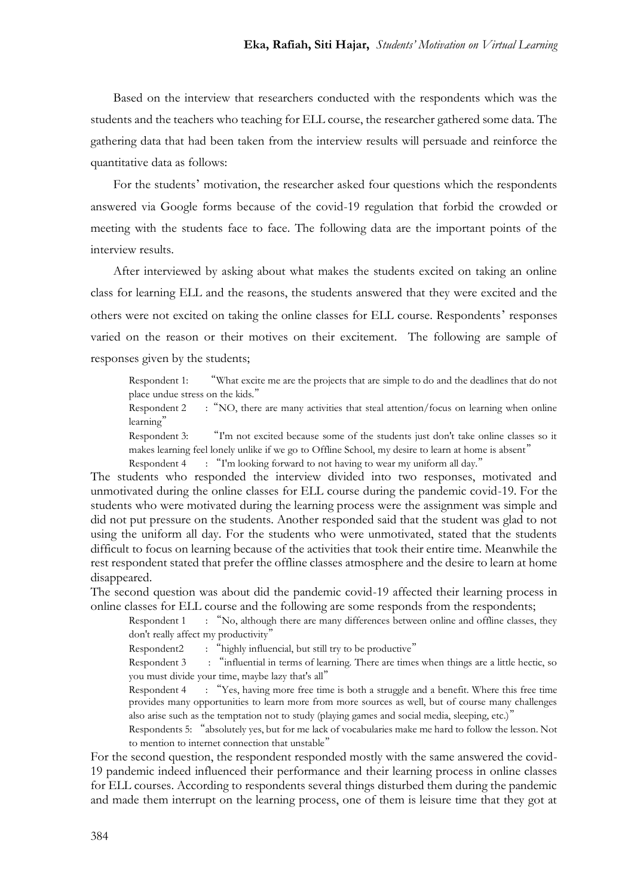Based on the interview that researchers conducted with the respondents which was the students and the teachers who teaching for ELL course, the researcher gathered some data. The gathering data that had been taken from the interview results will persuade and reinforce the quantitative data as follows:

For the students' motivation, the researcher asked four questions which the respondents answered via Google forms because of the covid-19 regulation that forbid the crowded or meeting with the students face to face. The following data are the important points of the interview results.

After interviewed by asking about what makes the students excited on taking an online class for learning ELL and the reasons, the students answered that they were excited and the others were not excited on taking the online classes for ELL course. Respondents' responses varied on the reason or their motives on their excitement. The following are sample of responses given by the students;

Respondent 1: "What excite me are the projects that are simple to do and the deadlines that do not place undue stress on the kids."

Respondent 2 : "NO, there are many activities that steal attention/focus on learning when online learning"

Respondent 3: "I'm not excited because some of the students just don't take online classes so it makes learning feel lonely unlike if we go to Offline School, my desire to learn at home is absent" Respondent 4 : "I'm looking forward to not having to wear my uniform all day."

The students who responded the interview divided into two responses, motivated and unmotivated during the online classes for ELL course during the pandemic covid-19. For the students who were motivated during the learning process were the assignment was simple and did not put pressure on the students. Another responded said that the student was glad to not using the uniform all day. For the students who were unmotivated, stated that the students difficult to focus on learning because of the activities that took their entire time. Meanwhile the rest respondent stated that prefer the offline classes atmosphere and the desire to learn at home disappeared.

The second question was about did the pandemic covid-19 affected their learning process in online classes for ELL course and the following are some responds from the respondents;

Respondent 1 : "No, although there are many differences between online and offline classes, they don't really affect my productivity"

Respondent2 : "highly influencial, but still try to be productive"

Respondent 3 : "influential in terms of learning. There are times when things are a little hectic, so you must divide your time, maybe lazy that's all"

Respondent 4 : "Yes, having more free time is both a struggle and a benefit. Where this free time provides many opportunities to learn more from more sources as well, but of course many challenges also arise such as the temptation not to study (playing games and social media, sleeping, etc.)"

Respondents 5: "absolutely yes, but for me lack of vocabularies make me hard to follow the lesson. Not to mention to internet connection that unstable"

For the second question, the respondent responded mostly with the same answered the covid-19 pandemic indeed influenced their performance and their learning process in online classes for ELL courses. According to respondents several things disturbed them during the pandemic and made them interrupt on the learning process, one of them is leisure time that they got at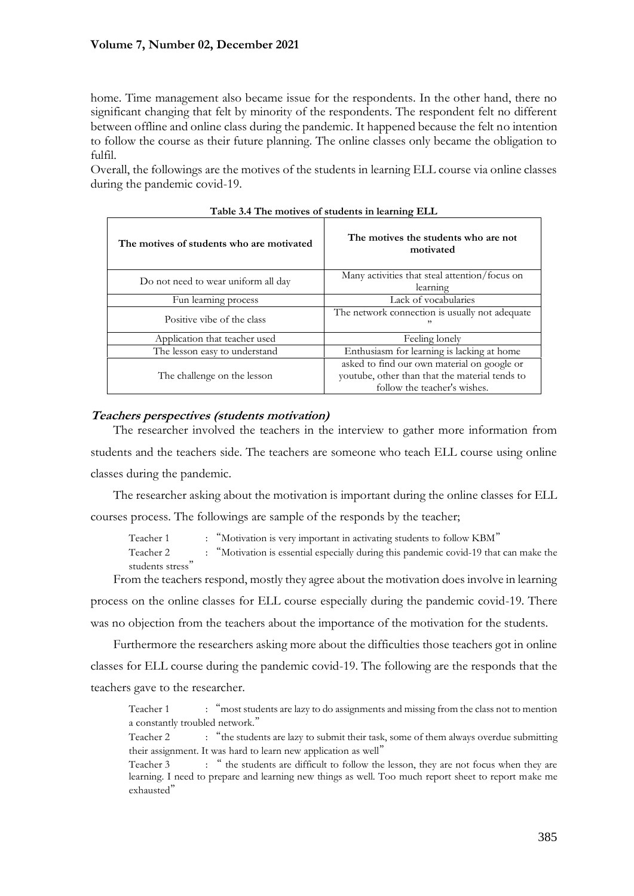home. Time management also became issue for the respondents. In the other hand, there no significant changing that felt by minority of the respondents. The respondent felt no different between offline and online class during the pandemic. It happened because the felt no intention to follow the course as their future planning. The online classes only became the obligation to fulfil.

Overall, the followings are the motives of the students in learning ELL course via online classes during the pandemic covid-19.

| The motives of students who are motivated | The motives the students who are not<br>motivated                                                                             |  |
|-------------------------------------------|-------------------------------------------------------------------------------------------------------------------------------|--|
| Do not need to wear uniform all day       | Many activities that steal attention/focus on<br>learning                                                                     |  |
| Fun learning process                      | Lack of vocabularies                                                                                                          |  |
| Positive vibe of the class                | The network connection is usually not adequate<br>, ,                                                                         |  |
| Application that teacher used             | Feeling lonely                                                                                                                |  |
| The lesson easy to understand             | Enthusiasm for learning is lacking at home                                                                                    |  |
| The challenge on the lesson               | asked to find our own material on google or<br>youtube, other than that the material tends to<br>follow the teacher's wishes. |  |

| Table 3.4 The motives of students in learning ELL |  |  |
|---------------------------------------------------|--|--|
|---------------------------------------------------|--|--|

## **Teachers perspectives (students motivation)**

The researcher involved the teachers in the interview to gather more information from students and the teachers side. The teachers are someone who teach ELL course using online classes during the pandemic.

The researcher asking about the motivation is important during the online classes for ELL courses process. The followings are sample of the responds by the teacher;

Teacher 1 : "Motivation is very important in activating students to follow KBM"

Teacher 2 : "Motivation is essential especially during this pandemic covid-19 that can make the students stress"

From the teachers respond, mostly they agree about the motivation does involve in learning process on the online classes for ELL course especially during the pandemic covid-19. There was no objection from the teachers about the importance of the motivation for the students.

Furthermore the researchers asking more about the difficulties those teachers got in online classes for ELL course during the pandemic covid-19. The following are the responds that the teachers gave to the researcher.

Teacher 1 : "most students are lazy to do assignments and missing from the class not to mention a constantly troubled network."

Teacher 2 : "the students are lazy to submit their task, some of them always overdue submitting their assignment. It was hard to learn new application as well"

Teacher 3 : " the students are difficult to follow the lesson, they are not focus when they are learning. I need to prepare and learning new things as well. Too much report sheet to report make me exhausted"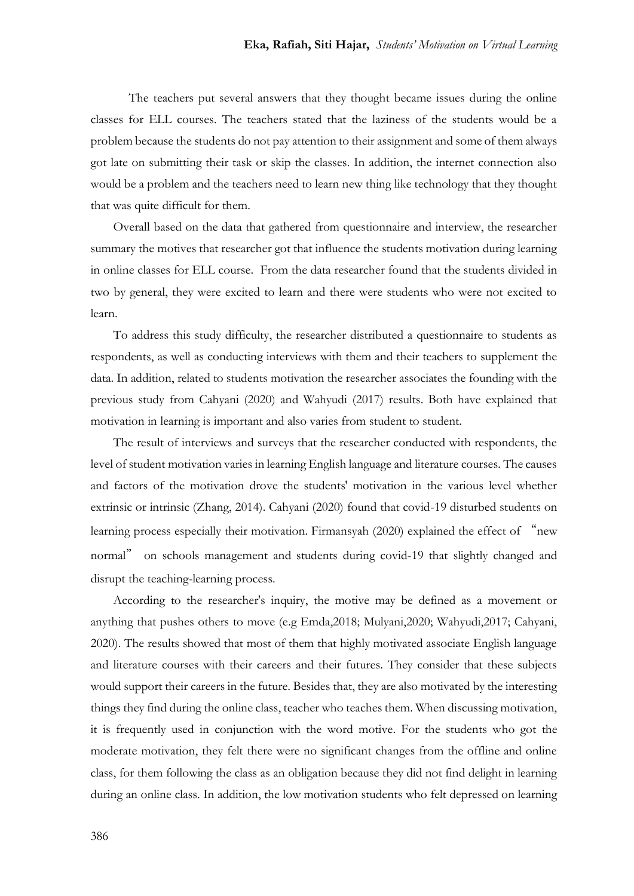The teachers put several answers that they thought became issues during the online classes for ELL courses. The teachers stated that the laziness of the students would be a problem because the students do not pay attention to their assignment and some of them always got late on submitting their task or skip the classes. In addition, the internet connection also would be a problem and the teachers need to learn new thing like technology that they thought that was quite difficult for them.

Overall based on the data that gathered from questionnaire and interview, the researcher summary the motives that researcher got that influence the students motivation during learning in online classes for ELL course. From the data researcher found that the students divided in two by general, they were excited to learn and there were students who were not excited to learn.

To address this study difficulty, the researcher distributed a questionnaire to students as respondents, as well as conducting interviews with them and their teachers to supplement the data. In addition, related to students motivation the researcher associates the founding with the previous study from Cahyani (2020) and Wahyudi (2017) results. Both have explained that motivation in learning is important and also varies from student to student.

The result of interviews and surveys that the researcher conducted with respondents, the level of student motivation varies in learning English language and literature courses. The causes and factors of the motivation drove the students' motivation in the various level whether extrinsic or intrinsic (Zhang, 2014). Cahyani (2020) found that covid-19 disturbed students on learning process especially their motivation. Firmansyah (2020) explained the effect of "new normal" on schools management and students during covid-19 that slightly changed and disrupt the teaching-learning process.

According to the researcher's inquiry, the motive may be defined as a movement or anything that pushes others to move (e.g Emda,2018; Mulyani,2020; Wahyudi,2017; Cahyani, 2020). The results showed that most of them that highly motivated associate English language and literature courses with their careers and their futures. They consider that these subjects would support their careers in the future. Besides that, they are also motivated by the interesting things they find during the online class, teacher who teaches them. When discussing motivation, it is frequently used in conjunction with the word motive. For the students who got the moderate motivation, they felt there were no significant changes from the offline and online class, for them following the class as an obligation because they did not find delight in learning during an online class. In addition, the low motivation students who felt depressed on learning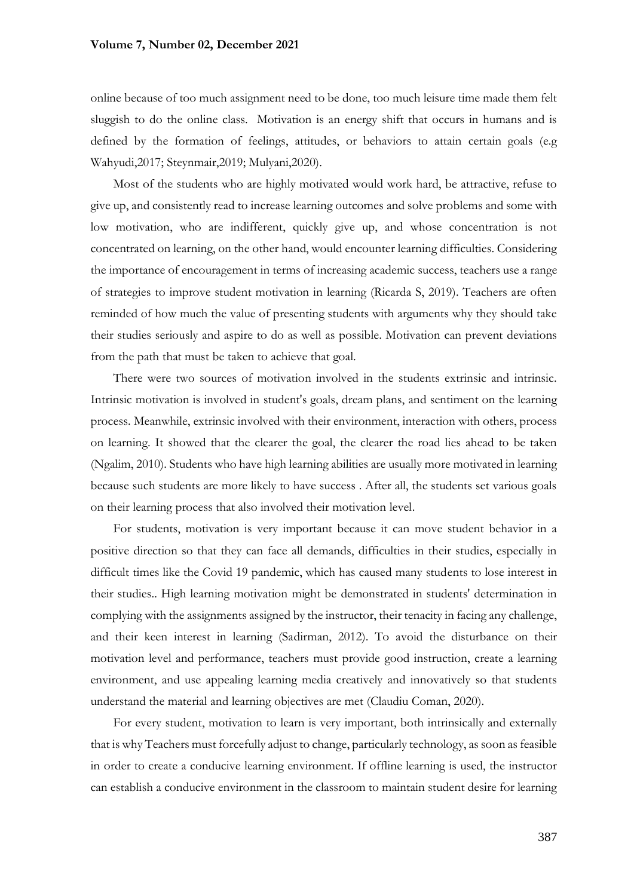online because of too much assignment need to be done, too much leisure time made them felt sluggish to do the online class. Motivation is an energy shift that occurs in humans and is defined by the formation of feelings, attitudes, or behaviors to attain certain goals (e.g Wahyudi,2017; Steynmair,2019; Mulyani,2020).

Most of the students who are highly motivated would work hard, be attractive, refuse to give up, and consistently read to increase learning outcomes and solve problems and some with low motivation, who are indifferent, quickly give up, and whose concentration is not concentrated on learning, on the other hand, would encounter learning difficulties. Considering the importance of encouragement in terms of increasing academic success, teachers use a range of strategies to improve student motivation in learning (Ricarda S, 2019). Teachers are often reminded of how much the value of presenting students with arguments why they should take their studies seriously and aspire to do as well as possible. Motivation can prevent deviations from the path that must be taken to achieve that goal.

There were two sources of motivation involved in the students extrinsic and intrinsic. Intrinsic motivation is involved in student's goals, dream plans, and sentiment on the learning process. Meanwhile, extrinsic involved with their environment, interaction with others, process on learning. It showed that the clearer the goal, the clearer the road lies ahead to be taken (Ngalim, 2010). Students who have high learning abilities are usually more motivated in learning because such students are more likely to have success . After all, the students set various goals on their learning process that also involved their motivation level.

For students, motivation is very important because it can move student behavior in a positive direction so that they can face all demands, difficulties in their studies, especially in difficult times like the Covid 19 pandemic, which has caused many students to lose interest in their studies.. High learning motivation might be demonstrated in students' determination in complying with the assignments assigned by the instructor, their tenacity in facing any challenge, and their keen interest in learning (Sadirman, 2012). To avoid the disturbance on their motivation level and performance, teachers must provide good instruction, create a learning environment, and use appealing learning media creatively and innovatively so that students understand the material and learning objectives are met (Claudiu Coman, 2020).

For every student, motivation to learn is very important, both intrinsically and externally that is why Teachers must forcefully adjust to change, particularly technology, as soon as feasible in order to create a conducive learning environment. If offline learning is used, the instructor can establish a conducive environment in the classroom to maintain student desire for learning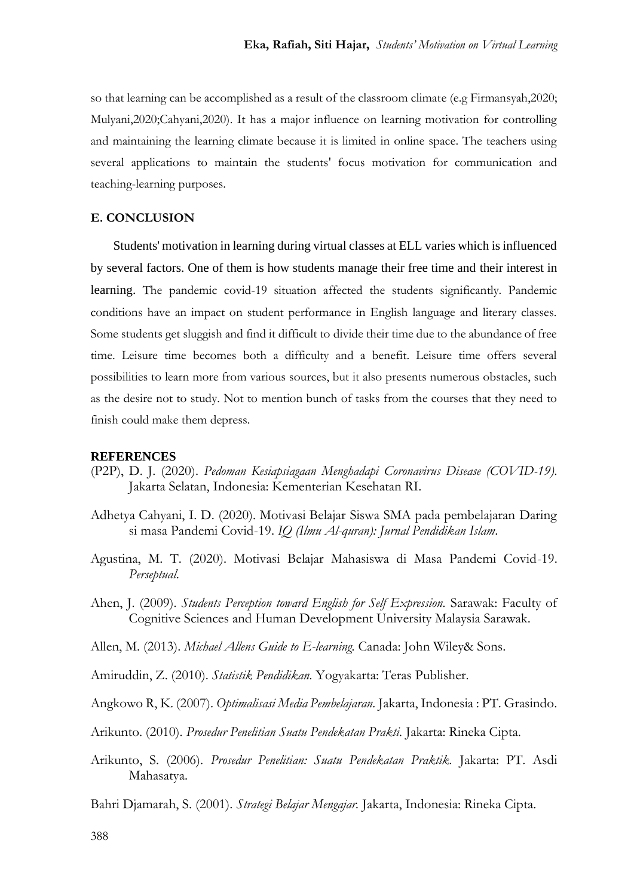so that learning can be accomplished as a result of the classroom climate (e.g Firmansyah,2020; Mulyani,2020;Cahyani,2020). It has a major influence on learning motivation for controlling and maintaining the learning climate because it is limited in online space. The teachers using several applications to maintain the students' focus motivation for communication and teaching-learning purposes.

## **E. CONCLUSION**

Students' motivation in learning during virtual classes at ELL varies which is influenced by several factors. One of them is how students manage their free time and their interest in learning. The pandemic covid-19 situation affected the students significantly. Pandemic conditions have an impact on student performance in English language and literary classes. Some students get sluggish and find it difficult to divide their time due to the abundance of free time. Leisure time becomes both a difficulty and a benefit. Leisure time offers several possibilities to learn more from various sources, but it also presents numerous obstacles, such as the desire not to study. Not to mention bunch of tasks from the courses that they need to finish could make them depress.

#### **REFERENCES**

- (P2P), D. J. (2020). *Pedoman Kesiapsiagaan Menghadapi Coronavirus Disease (COVID-19).* Jakarta Selatan, Indonesia: Kementerian Kesehatan RI.
- Adhetya Cahyani, I. D. (2020). Motivasi Belajar Siswa SMA pada pembelajaran Daring si masa Pandemi Covid-19. *IQ (Ilmu Al-quran): Jurnal Pendidikan Islam*.
- Agustina, M. T. (2020). Motivasi Belajar Mahasiswa di Masa Pandemi Covid-19. *Perseptual*.
- Ahen, J. (2009). *Students Perception toward English for Self Expression.* Sarawak: Faculty of Cognitive Sciences and Human Development University Malaysia Sarawak.
- Allen, M. (2013). *Michael Allens Guide to E-learning.* Canada: John Wiley& Sons.
- Amiruddin, Z. (2010). *Statistik Pendidikan.* Yogyakarta: Teras Publisher.
- Angkowo R, K. (2007). *Optimalisasi Media Pembelajaran.* Jakarta, Indonesia : PT. Grasindo.
- Arikunto. (2010). *Prosedur Penelitian Suatu Pendekatan Prakti.* Jakarta: Rineka Cipta.
- Arikunto, S. (2006). *Prosedur Penelitian: Suatu Pendekatan Praktik.* Jakarta: PT. Asdi Mahasatya.
- Bahri Djamarah, S. (2001). *Strategi Belajar Mengajar.* Jakarta, Indonesia: Rineka Cipta.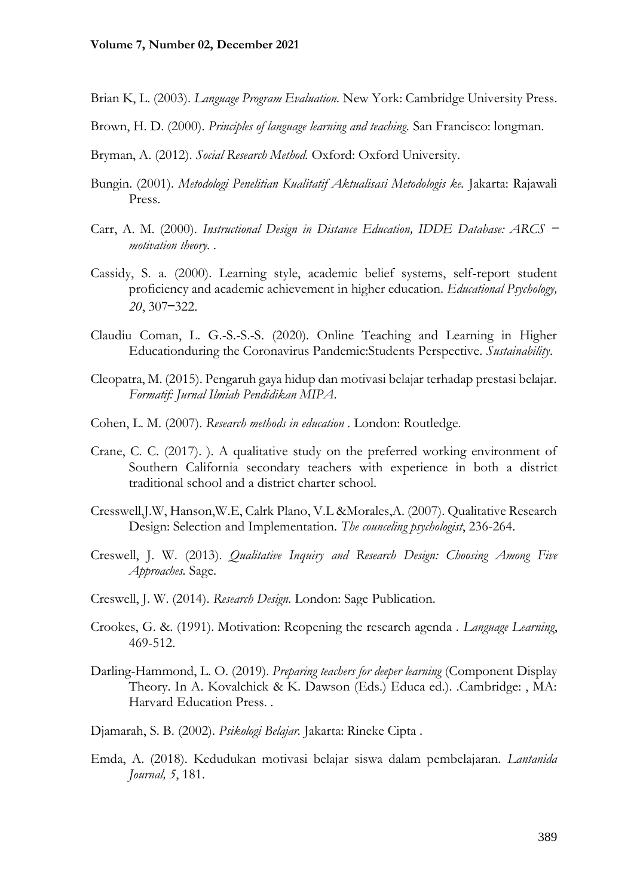- Brian K, L. (2003). *Language Program Evaluation.* New York: Cambridge University Press.
- Brown, H. D. (2000). *Principles of language learning and teaching.* San Francisco: longman.
- Bryman, A. (2012). *Social Research Method.* Oxford: Oxford University.
- Bungin. (2001). *Metodologi Penelitian Kualitatif Aktualisasi Metodologis ke.* Jakarta: Rajawali Press.
- Carr, A. M. (2000). *Instructional Design in Distance Education*, *IDDE Database: ARCS motivation theory. .*
- Cassidy, S. a. (2000). Learning style, academic belief systems, self-report student proficiency and academic achievement in higher education. *Educational Psychology, 20*, 307—322.
- Claudiu Coman, L. G.-S.-S.-S. (2020). Online Teaching and Learning in Higher Educationduring the Coronavirus Pandemic:Students Perspective. *Sustainability*.
- Cleopatra, M. (2015). Pengaruh gaya hidup dan motivasi belajar terhadap prestasi belajar. *Formatif: Jurnal Ilmiah Pendidikan MIPA*.
- Cohen, L. M. (2007). *Research methods in education .* London: Routledge.
- Crane, C. C. (2017). ). A qualitative study on the preferred working environment of Southern California secondary teachers with experience in both a district traditional school and a district charter school.
- Cresswell,J.W, Hanson,W.E, Calrk Plano, V.L &Morales,A. (2007). Qualitative Research Design: Selection and Implementation. *The counceling psychologist*, 236-264.
- Creswell, J. W. (2013). *Qualitative Inquiry and Research Design: Choosing Among Five Approaches.* Sage.
- Creswell, J. W. (2014). *Research Design.* London: Sage Publication.
- Crookes, G. &. (1991). Motivation: Reopening the research agenda . *Language Learning*, 469-512.
- Darling-Hammond, L. O. (2019). *Preparing teachers for deeper learning* (Component Display Theory. In A. Kovalchick & K. Dawson (Eds.) Educa ed.). .Cambridge: , MA: Harvard Education Press. .
- Djamarah, S. B. (2002). *Psikologi Belajar.* Jakarta: Rineke Cipta .
- Emda, A. (2018). Kedudukan motivasi belajar siswa dalam pembelajaran. *Lantanida Journal, 5*, 181.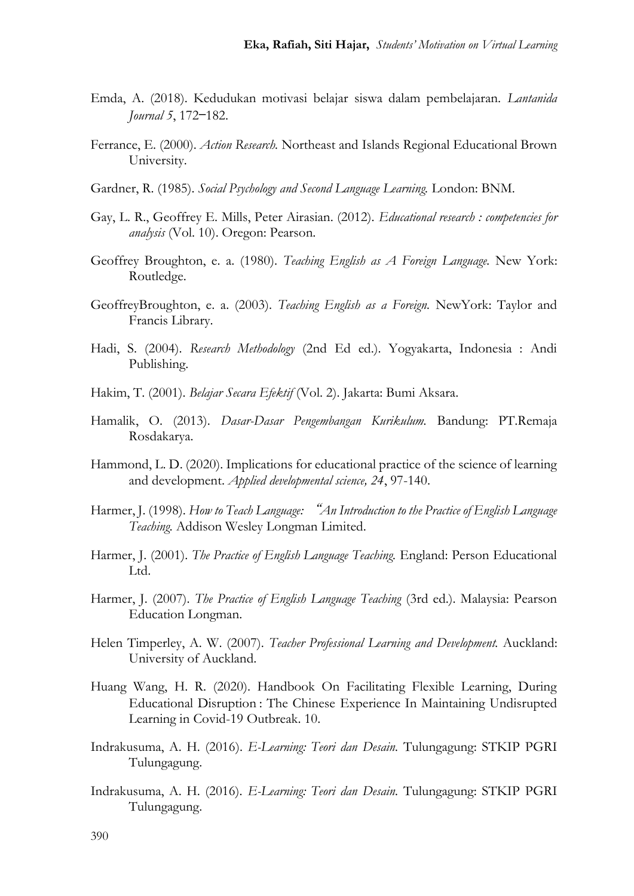- Emda, A. (2018). Kedudukan motivasi belajar siswa dalam pembelajaran. *Lantanida Journal 5*, 172—182.
- Ferrance, E. (2000). *Action Research.* Northeast and Islands Regional Educational Brown University.
- Gardner, R. (1985). *Social Psychology and Second Language Learning.* London: BNM.
- Gay, L. R., Geoffrey E. Mills, Peter Airasian. (2012). *Educational research : competencies for analysis* (Vol. 10). Oregon: Pearson.
- Geoffrey Broughton, e. a. (1980). *Teaching English as A Foreign Language.* New York: Routledge.
- GeoffreyBroughton, e. a. (2003). *Teaching English as a Foreign.* NewYork: Taylor and Francis Library.
- Hadi, S. (2004). *Research Methodology* (2nd Ed ed.). Yogyakarta, Indonesia : Andi Publishing.
- Hakim, T. (2001). *Belajar Secara Efektif* (Vol. 2). Jakarta: Bumi Aksara.
- Hamalik, O. (2013). *Dasar-Dasar Pengembangan Kurikulum.* Bandung: PT.Remaja Rosdakarya.
- Hammond, L. D. (2020). Implications for educational practice of the science of learning and development. *Applied developmental science, 24*, 97-140.
- Harmer, J. (1998). *How to Teach Language:* "*An Introduction to the Practice of English Language Teaching.* Addison Wesley Longman Limited.
- Harmer, J. (2001). *The Practice of English Language Teaching.* England: Person Educational Ltd.
- Harmer, J. (2007). *The Practice of English Language Teaching* (3rd ed.). Malaysia: Pearson Education Longman.
- Helen Timperley, A. W. (2007). *Teacher Professional Learning and Development.* Auckland: University of Auckland.
- Huang Wang, H. R. (2020). Handbook On Facilitating Flexible Learning, During Educational Disruption : The Chinese Experience In Maintaining Undisrupted Learning in Covid-19 Outbreak. 10.
- Indrakusuma, A. H. (2016). *E-Learning: Teori dan Desain.* Tulungagung: STKIP PGRI Tulungagung.
- Indrakusuma, A. H. (2016). *E-Learning: Teori dan Desain.* Tulungagung: STKIP PGRI Tulungagung.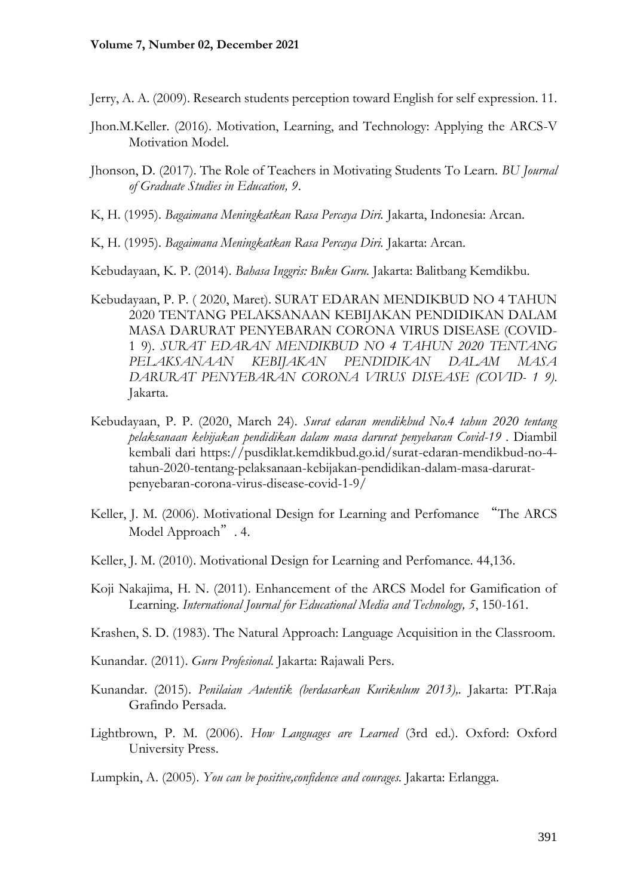Jerry, A. A. (2009). Research students perception toward English for self expression. 11.

- Jhon.M.Keller. (2016). Motivation, Learning, and Technology: Applying the ARCS-V Motivation Model.
- Jhonson, D. (2017). The Role of Teachers in Motivating Students To Learn. *BU Journal of Graduate Studies in Education, 9*.
- K, H. (1995). *Bagaimana Meningkatkan Rasa Percaya Diri.* Jakarta, Indonesia: Arcan.
- K, H. (1995). *Bagaimana Meningkatkan Rasa Percaya Diri.* Jakarta: Arcan.

Kebudayaan, K. P. (2014). *Bahasa Inggris: Buku Guru.* Jakarta: Balitbang Kemdikbu.

- Kebudayaan, P. P. ( 2020, Maret). SURAT EDARAN MENDIKBUD NO 4 TAHUN 2020 TENTANG PELAKSANAAN KEBIJAKAN PENDIDIKAN DALAM MASA DARURAT PENYEBARAN CORONA VIRUS DISEASE (COVID-1 9). *SURAT EDARAN MENDIKBUD NO 4 TAHUN 2020 TENTANG PELAKSANAAN KEBIJAKAN PENDIDIKAN DALAM MASA DARURAT PENYEBARAN CORONA VIRUS DISEASE (COVID- 1 9)*. Jakarta.
- Kebudayaan, P. P. (2020, March 24). *Surat edaran mendikbud No.4 tahun 2020 tentang pelaksanaan kebijakan pendidikan dalam masa darurat penyebaran Covid-19 .* Diambil kembali dari https://pusdiklat.kemdikbud.go.id/surat-edaran-mendikbud-no-4 tahun-2020-tentang-pelaksanaan-kebijakan-pendidikan-dalam-masa-daruratpenyebaran-corona-virus-disease-covid-1-9/
- Keller, J. M. (2006). Motivational Design for Learning and Perfomance "The ARCS Model Approach". 4.
- Keller, J. M. (2010). Motivational Design for Learning and Perfomance. 44,136.
- Koji Nakajima, H. N. (2011). Enhancement of the ARCS Model for Gamification of Learning. *International Journal for Educational Media and Technology, 5*, 150-161.
- Krashen, S. D. (1983). The Natural Approach: Language Acquisition in the Classroom.
- Kunandar. (2011). *Guru Profesional.* Jakarta: Rajawali Pers.
- Kunandar. (2015). *Penilaian Autentik (berdasarkan Kurikulum 2013),.* Jakarta: PT.Raja Grafindo Persada.
- Lightbrown, P. M. (2006). *How Languages are Learned* (3rd ed.). Oxford: Oxford University Press.

Lumpkin, A. (2005). *You can be positive,confidence and courages.* Jakarta: Erlangga.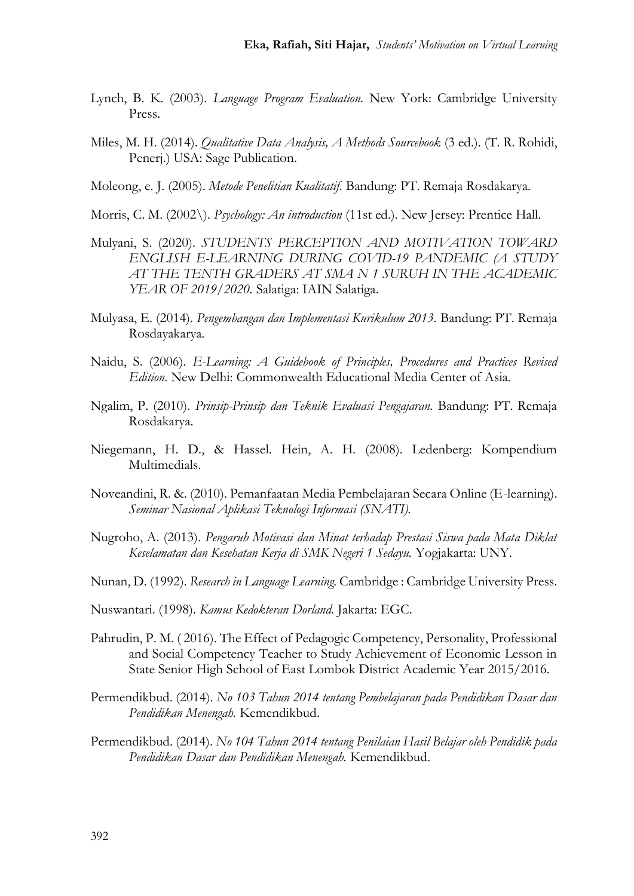- Lynch, B. K. (2003). *Language Program Evaluation.* New York: Cambridge University Press.
- Miles, M. H. (2014). *Qualitative Data Analysis, A Methods Sourcebook* (3 ed.). (T. R. Rohidi, Penerj.) USA: Sage Publication.
- Moleong, e. J. (2005). *Metode Penelitian Kualitatif.* Bandung: PT. Remaja Rosdakarya.
- Morris, C. M. (2002\). *Psychology: An introduction* (11st ed.). New Jersey: Prentice Hall.
- Mulyani, S. (2020). *STUDENTS PERCEPTION AND MOTIVATION TOWARD ENGLISH E-LEARNING DURING COVID-19 PANDEMIC (A STUDY AT THE TENTH GRADERS AT SMA N 1 SURUH IN THE ACADEMIC YEAR OF 2019/2020.* Salatiga: IAIN Salatiga.
- Mulyasa, E. (2014). *Pengembangan dan Implementasi Kurikulum 2013.* Bandung: PT. Remaja Rosdayakarya.
- Naidu, S. (2006). *E-Learning: A Guidebook of Principles, Procedures and Practices Revised Edition.* New Delhi: Commonwealth Educational Media Center of Asia.
- Ngalim, P. (2010). *Prinsip-Prinsip dan Teknik Evaluasi Pengajaran.* Bandung: PT. Remaja Rosdakarya.
- Niegemann, H. D., & Hassel. Hein, A. H. (2008). Ledenberg: Kompendium Multimedials.
- Noveandini, R. &. (2010). Pemanfaatan Media Pembelajaran Secara Online (E-learning). *Seminar Nasional Aplikasi Teknologi Informasi (SNATI).*
- Nugroho, A. (2013). *Pengaruh Motivasi dan Minat terhadap Prestasi Siswa pada Mata Diklat Keselamatan dan Kesehatan Kerja di SMK Negeri 1 Sedayu.* Yogjakarta: UNY.
- Nunan, D. (1992). *Research in Language Learning.* Cambridge : Cambridge University Press.
- Nuswantari. (1998). *Kamus Kedokteran Dorland.* Jakarta: EGC.
- Pahrudin, P. M. ( 2016). The Effect of Pedagogic Competency, Personality, Professional and Social Competency Teacher to Study Achievement of Economic Lesson in State Senior High School of East Lombok District Academic Year 2015/2016.
- Permendikbud. (2014). *No 103 Tahun 2014 tentang Pembelajaran pada Pendidikan Dasar dan Pendidikan Menengah.* Kemendikbud.
- Permendikbud. (2014). *No 104 Tahun 2014 tentang Penilaian Hasil Belajar oleh Pendidik pada Pendidikan Dasar dan Pendidikan Menengah.* Kemendikbud.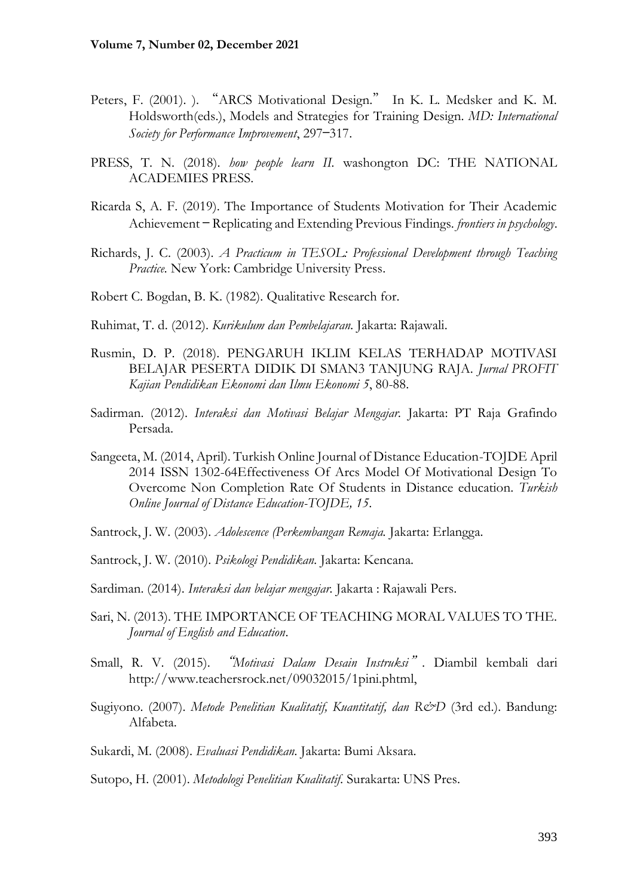- Peters, F. (2001). ). "ARCS Motivational Design." In K. L. Medsker and K. M. Holdsworth(eds.), Models and Strategies for Training Design. *MD: International Society for Performance Improvement*, 297—317.
- PRESS, T. N. (2018). *how people learn II.* washongton DC: THE NATIONAL ACADEMIES PRESS.
- Ricarda S, A. F. (2019). The Importance of Students Motivation for Their Academic Achievement — Replicating and Extending Previous Findings. *frontiers in psychology*.
- Richards, J. C. (2003). *A Practicum in TESOL: Professional Development through Teaching Practice.* New York: Cambridge University Press.
- Robert C. Bogdan, B. K. (1982). Qualitative Research for.
- Ruhimat, T. d. (2012). *Kurikulum dan Pembelajaran.* Jakarta: Rajawali.
- Rusmin, D. P. (2018). PENGARUH IKLIM KELAS TERHADAP MOTIVASI BELAJAR PESERTA DIDIK DI SMAN3 TANJUNG RAJA. *Jurnal PROFIT Kajian Pendidikan Ekonomi dan Ilmu Ekonomi 5*, 80-88.
- Sadirman. (2012). *Interaksi dan Motivasi Belajar Mengajar.* Jakarta: PT Raja Grafindo Persada.
- Sangeeta, M. (2014, April). Turkish Online Journal of Distance Education-TOJDE April 2014 ISSN 1302-64Effectiveness Of Arcs Model Of Motivational Design To Overcome Non Completion Rate Of Students in Distance education. *Turkish Online Journal of Distance Education-TOJDE, 15*.
- Santrock, J. W. (2003). *Adolescence (Perkembangan Remaja.* Jakarta: Erlangga.
- Santrock, J. W. (2010). *Psikologi Pendidikan.* Jakarta: Kencana.
- Sardiman. (2014). *Interaksi dan belajar mengajar.* Jakarta : Rajawali Pers.
- Sari, N. (2013). THE IMPORTANCE OF TEACHING MORAL VALUES TO THE. *Journal of English and Education*.
- Small, R. V. (2015). "*Motivasi Dalam Desain Instruksi*"*.* Diambil kembali dari http://www.teachersrock.net/09032015/1pini.phtml,
- Sugiyono. (2007). *Metode Penelitian Kualitatif, Kuantitatif, dan R&D* (3rd ed.). Bandung: Alfabeta.
- Sukardi, M. (2008). *Evaluasi Pendidikan.* Jakarta: Bumi Aksara.
- Sutopo, H. (2001). *Metodologi Penelitian Kualitatif.* Surakarta: UNS Pres.